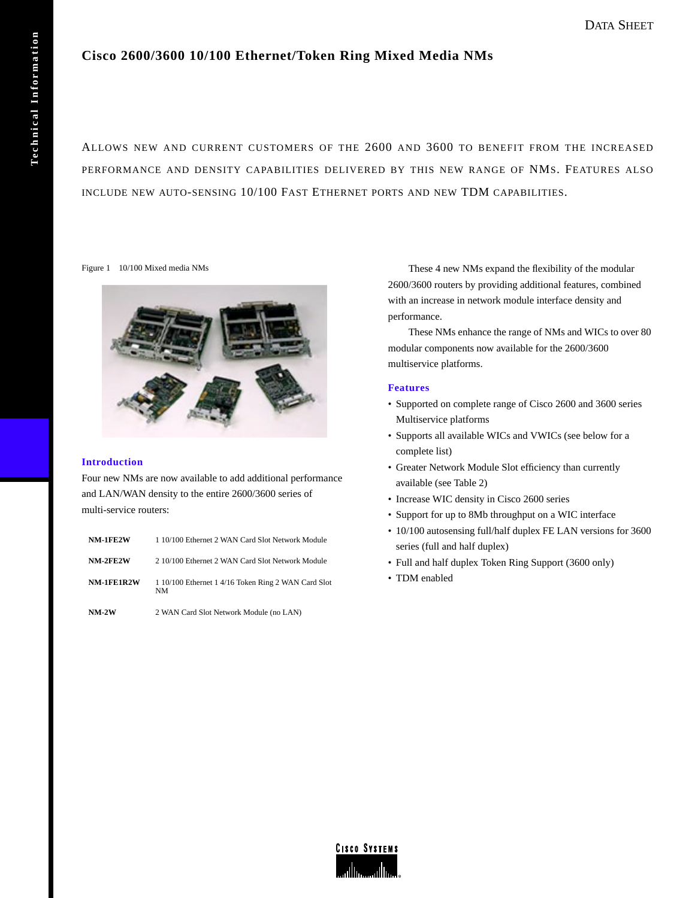# **Cisco 2600/3600 10/100 Ethernet/Token Ring Mixed Media NMs**

ALLOWS NEW AND CURRENT CUSTOMERS OF THE 2600 AND 3600 TO BENEFIT FROM THE INCREASED PERFORMANCE AND DENSITY CAPABILITIES DELIVERED BY THIS NEW RANGE OF NMS. FEATURES ALSO INCLUDE NEW AUTO-SENSING 10/100 FAST ETHERNET PORTS AND NEW TDM CAPABILITIES.

Figure 1 10/100 Mixed media NMs



## **Introduction**

Four new NMs are now available to add additional performance and LAN/WAN density to the entire 2600/3600 series of multi-service routers:

| $NM-2W$    | 2 WAN Card Slot Network Module (no LAN)                   |
|------------|-----------------------------------------------------------|
| NM-1FE1R2W | 1 10/100 Ethernet 1 4/16 Token Ring 2 WAN Card Slot<br>NΜ |
| NM-2FE2W   | 2 10/100 Ethernet 2 WAN Card Slot Network Module          |
| NM-1FE2W   | 1 10/100 Ethernet 2 WAN Card Slot Network Module          |

These 4 new NMs expand the flexibility of the modular 2600/3600 routers by providing additional features, combined with an increase in network module interface density and performance.

These NMs enhance the range of NMs and WICs to over 80 modular components now available for the 2600/3600 multiservice platforms.

## **Features**

- Supported on complete range of Cisco 2600 and 3600 series Multiservice platforms
- Supports all available WICs and VWICs (see below for a complete list)
- Greater Network Module Slot efficiency than currently available (see Table 2)
- Increase WIC density in Cisco 2600 series
- Support for up to 8Mb throughput on a WIC interface
- 10/100 autosensing full/half duplex FE LAN versions for 3600 series (full and half duplex)
- Full and half duplex Token Ring Support (3600 only)
- TDM enabled

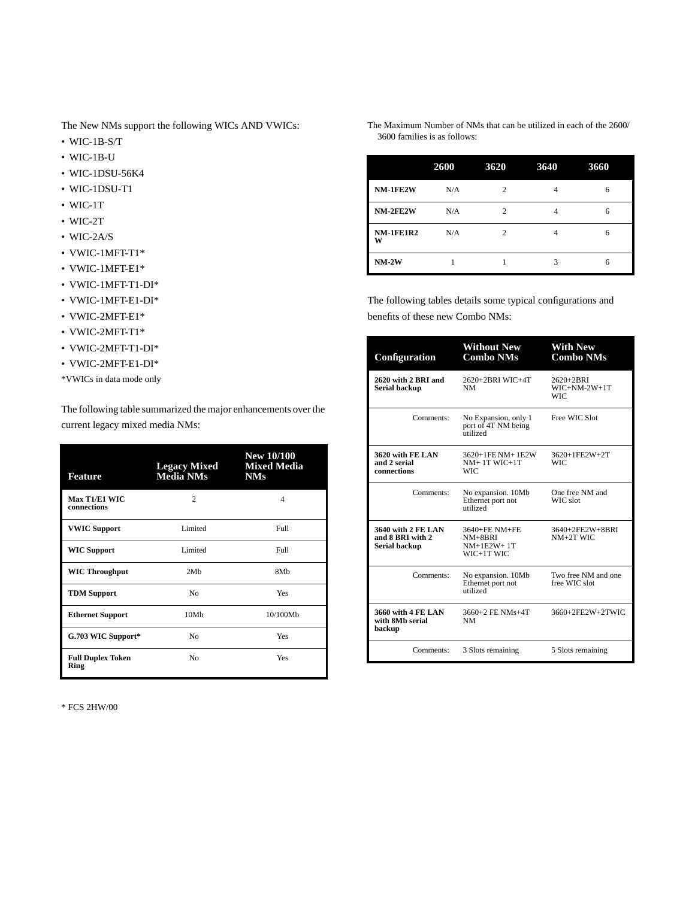The New NMs support the following WICs AND VWICs:

- WIC-1B-S/T
- WIC-1B-U
- WIC-1DSU-56K4
- WIC-1DSU-T1
- WIC-1T
- WIC-2T
- WIC-2A/S
- VWIC-1MFT-T1\*
- VWIC-1MFT-E1\*
- VWIC-1MFT-T1-DI\*
- VWIC-1MFT-E1-DI\*
- VWIC-2MFT-E1\*
- VWIC-2MFT-T1\*
- VWIC-2MFT-T1-DI\*
- VWIC-2MFT-E1-DI\*
- \*VWICs in data mode only

The following table summarized the major enhancements over the current legacy mixed media NMs:

| Feature                          | <b>Legacy Mixed</b><br><b>Media NMs</b> | <b>New 10/100</b><br><b>Mixed Media</b><br><b>NMs</b> |
|----------------------------------|-----------------------------------------|-------------------------------------------------------|
| Max T1/E1 WIC<br>connections     | $\mathfrak{D}$                          | $\overline{\mathcal{A}}$                              |
| <b>VWIC Support</b>              | Limited                                 | Full                                                  |
| <b>WIC Support</b>               | Limited                                 | Full                                                  |
| <b>WIC Throughput</b>            | 2Mh                                     | 8M <sub>b</sub>                                       |
| <b>TDM Support</b>               | N <sub>0</sub>                          | Yes                                                   |
| <b>Ethernet Support</b>          | 10Mb                                    | 10/100Mb                                              |
| G.703 WIC Support*               | No                                      | Yes                                                   |
| <b>Full Duplex Token</b><br>Ring | N <sub>0</sub>                          | Yes                                                   |

\* FCS 2HW/00

The Maximum Number of NMs that can be utilized in each of the 2600/ 3600 families is as follows:

|                       | 2600 | 3620           | 3640 | 3660 |
|-----------------------|------|----------------|------|------|
| NM-1FE2W              | N/A  | $\overline{c}$ | 4    | 6    |
| NM-2FE2W              | N/A  | $\mathfrak{D}$ | 4    | 6    |
| <b>NM-1FE1R2</b><br>w | N/A  | $\mathfrak{D}$ | 4    | 6    |
| $NM-2W$               |      |                | 3    | 6    |

The following tables details some typical configurations and benefits of these new Combo NMs:

| Configuration                                                  | <b>Without New</b><br><b>Combo NMs</b>                   | <b>With New</b><br>Combo NMs              |
|----------------------------------------------------------------|----------------------------------------------------------|-------------------------------------------|
| 2620 with 2 BRI and<br><b>Serial backup</b>                    | 2620+2BRI WIC+4T<br>NM                                   | 2620+2BRI<br>$WIC+NM-2W+1T$<br><b>WIC</b> |
| Comments:                                                      | No Expansion, only 1<br>port of 4T NM being<br>utilized  | Free WIC Slot                             |
| 3620 with FE LAN<br>and 2 serial<br>connections                | 3620+1FE NM+1E2W<br>$NM+1T$ WIC+1T<br>WIC:               | 3620+1FE2W+2T<br><b>WIC</b>               |
| Comments:                                                      | No expansion. 10Mb<br>Ethernet port not<br>utilized      | One free NM and<br>WIC slot               |
| <b>3640 with 2 FE LAN</b><br>and 8 BRI with 2<br>Serial backup | 3640+FE NM+FE<br>$NM+8BRI$<br>$NM+1E2W+1T$<br>WIC+1T WIC | 3640+2FE2W+8BRI<br>$NM+2T$ WIC            |
| Comments:                                                      | No expansion. 10Mb<br>Ethernet port not<br>utilized      | Two free NM and one<br>free WIC slot      |
| 3660 with 4 FE LAN<br>with 8Mb serial<br>backup                | 3660+2 FE NMs+4T<br><b>NM</b>                            | 3660+2FE2W+2TWIC                          |
| Comments:                                                      | 3 Slots remaining                                        | 5 Slots remaining                         |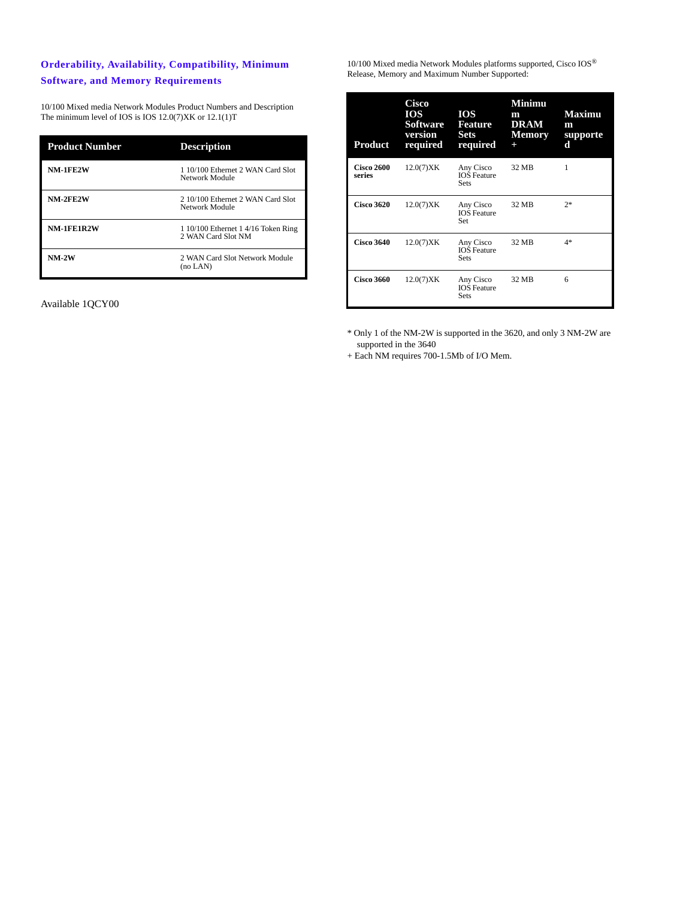## **Orderability, Availability, Compatibility, Minimum Software, and Memory Requirements**

10/100 Mixed media Network Modules Product Numbers and Description The minimum level of IOS is IOS 12.0(7)XK or 12.1(1)T

| <b>Product Number</b> | <b>Description</b>                                        |
|-----------------------|-----------------------------------------------------------|
| <b>NM-1FE2W</b>       | 1 10/100 Ethernet 2 WAN Card Slot<br>Network Module       |
| NM-2FE2W              | 2 10/100 Ethernet 2 WAN Card Slot<br>Network Module       |
| NM-1FE1R2W            | 1 10/100 Ethernet 1 4/16 Token Ring<br>2 WAN Card Slot NM |
| $NM-2W$               | 2 WAN Card Slot Network Module<br>$(no$ LAN $)$           |

Available 1QCY00

 $10/100$  Mixed media Network Modules platforms supported, Cisco  $\text{IOS}^\circledR$ Release, Memory and Maximum Number Supported:

| <b>Product</b>              | Cisco<br><b>IOS</b><br><b>Software</b><br>version<br>required | <b>IOS</b><br>Feature<br><b>Sets</b><br>required | Minimu<br>m<br><b>DRAM</b><br><b>Memory</b><br>$\ddot{}$ | <b>Maximu</b><br>m<br>supporte<br>d |
|-----------------------------|---------------------------------------------------------------|--------------------------------------------------|----------------------------------------------------------|-------------------------------------|
| <b>Cisco 2600</b><br>series | 12.0(7)XK                                                     | Any Cisco<br><b>IOS</b> Feature<br><b>Sets</b>   | 32 MB                                                    | 1                                   |
| <b>Cisco 3620</b>           | 12.0(7)XK                                                     | Any Cisco<br><b>IOS</b> Feature<br>Set           | 32 MB                                                    | $2*$                                |
| <b>Cisco 3640</b>           | 12.0(7)XK                                                     | Any Cisco<br><b>IOS</b> Feature<br><b>Sets</b>   | 32 MB                                                    | $4*$                                |
| <b>Cisco 3660</b>           | 12.0(7)XK                                                     | Any Cisco<br><b>IOS</b> Feature<br><b>Sets</b>   | 32 MB                                                    | 6                                   |

\* Only 1 of the NM-2W is supported in the 3620, and only 3 NM-2W are supported in the 3640

+ Each NM requires 700-1.5Mb of I/O Mem.